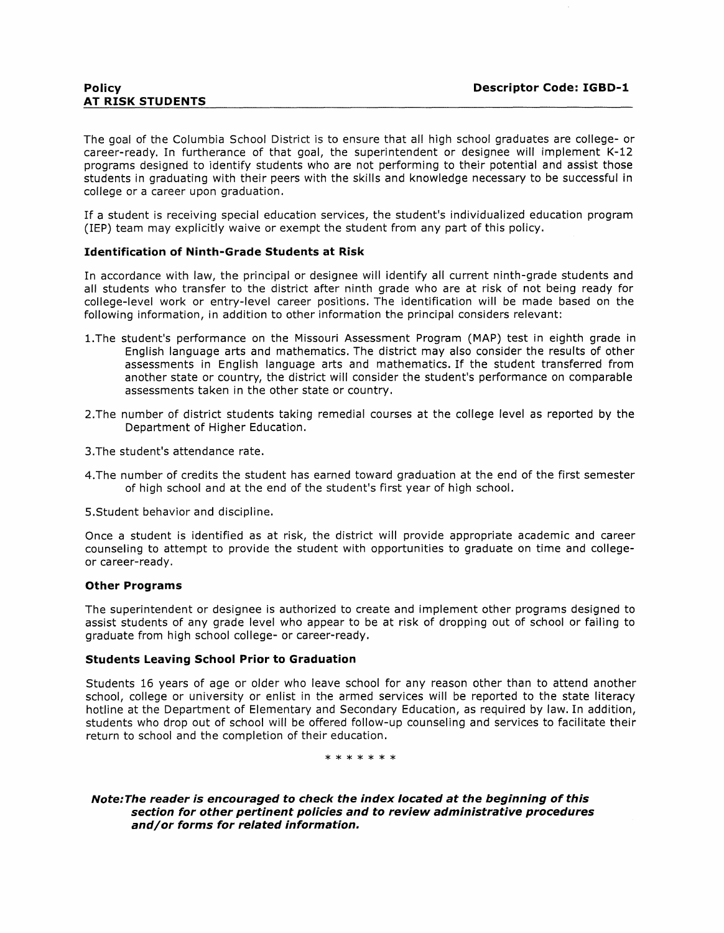The goal of the Columbia School District is to ensure that all high school graduates are college- or career-ready. In furtherance of that goal, the superintendent or designee will implement K-12 programs designed to identify students who are not performing to their potential and assist those students in graduating with their peers with the skills and knowledge necessary to be successful in college or a career upon graduation.

If a student is receiving special education services, the student's individualized education program (IEP) team may explicitly waive or exempt the student from any part of this policy.

### Identification of Ninth-Grade Students at Risk

In accordance with law, the principal or designee will identify all current ninth-grade students and all students who transfer to the district after ninth grade who are at risk of not being ready for college-level work or entry-level career positions. The identification will be made based on the following information, in addition to other information the principal considers relevant:

- l.The student's performance on the Missouri Assessment Program (MAP) test in eighth grade in English language arts and mathematics. The district may also consider the results of other assessments in English language arts and mathematics. If the student transferred from another state or country, the district will consider the student's performance on comparable assessments taken in the other state or country.
- 2.The number of district students taking remedial courses at the college level as reported by the Department of Higher Education.
- 3.The student's attendance rate.
- 4.The number of credits the student has earned toward graduation at the end of the first semester of high school and at the end of the student's first year of high school.
- S.Student behavior and discipline.

Once a student is identified as at risk, the district will provide appropriate academic and career counseling to attempt to provide the student with opportunities to graduate on time and collegeor career-ready.

### Other Programs

The superintendent or designee is authorized to create and implement other programs designed to assist students of any grade level who appear to be at risk of dropping out of school or failing to graduate from high school college- or career-ready.

### Students Leaving School Prior to Graduation

Students 16 years of age or older who leave school for any reason other than to attend another school, college or university or enlist in the armed services will be reported to the state literacy hotline at the Department of Elementary and Secondary Education, as required by law. In addition, students who drop out of school will be offered follow-up counseling and services to facilitate their return to school and the completion of their education.

\* \* \* \* \* \* \*

Note: The reader is encouraged to check the index located at the beginning of this section for other pertinent policies and to review administrative procedures and/or forms for related information.